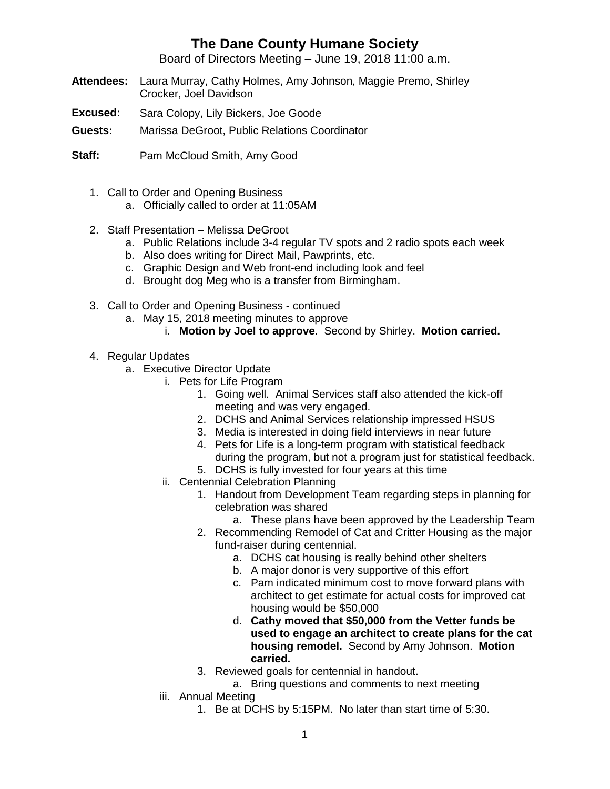## **The Dane County Humane Society**

Board of Directors Meeting – June 19, 2018 11:00 a.m.

- **Attendees:** Laura Murray, Cathy Holmes, Amy Johnson, Maggie Premo, Shirley Crocker, Joel Davidson
- **Excused:** Sara Colopy, Lily Bickers, Joe Goode
- **Guests:** Marissa DeGroot, Public Relations Coordinator
- **Staff:** Pam McCloud Smith, Amy Good
	- 1. Call to Order and Opening Business
		- a. Officially called to order at 11:05AM
	- 2. Staff Presentation Melissa DeGroot
		- a. Public Relations include 3-4 regular TV spots and 2 radio spots each week
		- b. Also does writing for Direct Mail, Pawprints, etc.
		- c. Graphic Design and Web front-end including look and feel
		- d. Brought dog Meg who is a transfer from Birmingham.
	- 3. Call to Order and Opening Business continued
		- a. May 15, 2018 meeting minutes to approve
			- i. **Motion by Joel to approve**. Second by Shirley. **Motion carried.**
	- 4. Regular Updates
		- a. Executive Director Update
			- i. Pets for Life Program
				- 1. Going well. Animal Services staff also attended the kick-off meeting and was very engaged.
				- 2. DCHS and Animal Services relationship impressed HSUS
				- 3. Media is interested in doing field interviews in near future
				- 4. Pets for Life is a long-term program with statistical feedback during the program, but not a program just for statistical feedback.
				- 5. DCHS is fully invested for four years at this time
			- ii. Centennial Celebration Planning
				- 1. Handout from Development Team regarding steps in planning for celebration was shared
					- a. These plans have been approved by the Leadership Team
				- 2. Recommending Remodel of Cat and Critter Housing as the major fund-raiser during centennial.
					- a. DCHS cat housing is really behind other shelters
					- b. A major donor is very supportive of this effort
					- c. Pam indicated minimum cost to move forward plans with architect to get estimate for actual costs for improved cat housing would be \$50,000
					- d. **Cathy moved that \$50,000 from the Vetter funds be used to engage an architect to create plans for the cat housing remodel.** Second by Amy Johnson. **Motion carried.**
				- 3. Reviewed goals for centennial in handout.
					- a. Bring questions and comments to next meeting
			- iii. Annual Meeting
				- 1. Be at DCHS by 5:15PM. No later than start time of 5:30.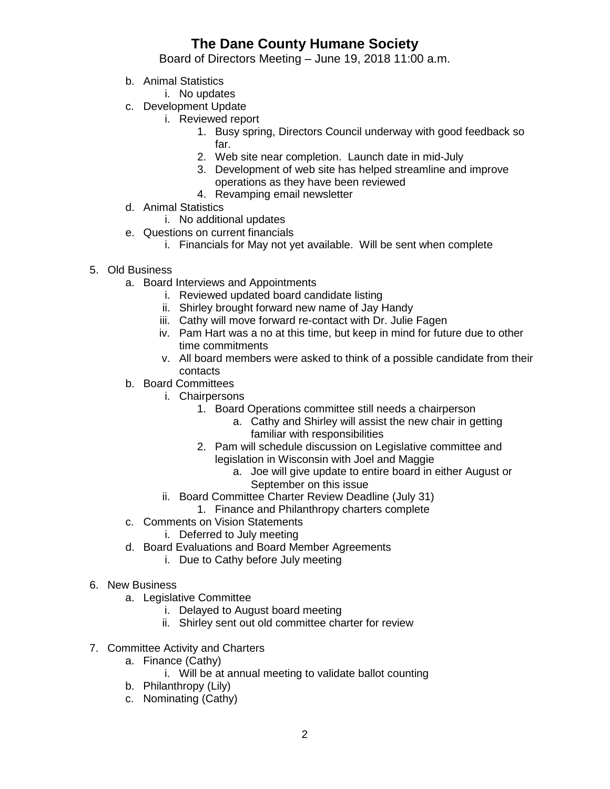## **The Dane County Humane Society**

Board of Directors Meeting – June 19, 2018 11:00 a.m.

- b. Animal Statistics
	- i. No updates
- c. Development Update
	- i. Reviewed report
		- 1. Busy spring, Directors Council underway with good feedback so far.
		- 2. Web site near completion. Launch date in mid-July
		- 3. Development of web site has helped streamline and improve operations as they have been reviewed
		- 4. Revamping email newsletter
- d. Animal Statistics
	- i. No additional updates
- e. Questions on current financials
	- i. Financials for May not yet available. Will be sent when complete
- 5. Old Business
	- a. Board Interviews and Appointments
		- i. Reviewed updated board candidate listing
		- ii. Shirley brought forward new name of Jay Handy
		- iii. Cathy will move forward re-contact with Dr. Julie Fagen
		- iv. Pam Hart was a no at this time, but keep in mind for future due to other time commitments
		- v. All board members were asked to think of a possible candidate from their contacts
	- b. Board Committees
		- i. Chairpersons
			- 1. Board Operations committee still needs a chairperson
				- a. Cathy and Shirley will assist the new chair in getting familiar with responsibilities
			- 2. Pam will schedule discussion on Legislative committee and legislation in Wisconsin with Joel and Maggie
				- a. Joe will give update to entire board in either August or September on this issue
		- ii. Board Committee Charter Review Deadline (July 31)
			- 1. Finance and Philanthropy charters complete
	- c. Comments on Vision Statements
		- i. Deferred to July meeting
	- d. Board Evaluations and Board Member Agreements
		- i. Due to Cathy before July meeting
- 6. New Business
	- a. Legislative Committee
		- i. Delayed to August board meeting
		- ii. Shirley sent out old committee charter for review
- 7. Committee Activity and Charters
	- a. Finance (Cathy)
		- i. Will be at annual meeting to validate ballot counting
	- b. Philanthropy (Lily)
	- c. Nominating (Cathy)